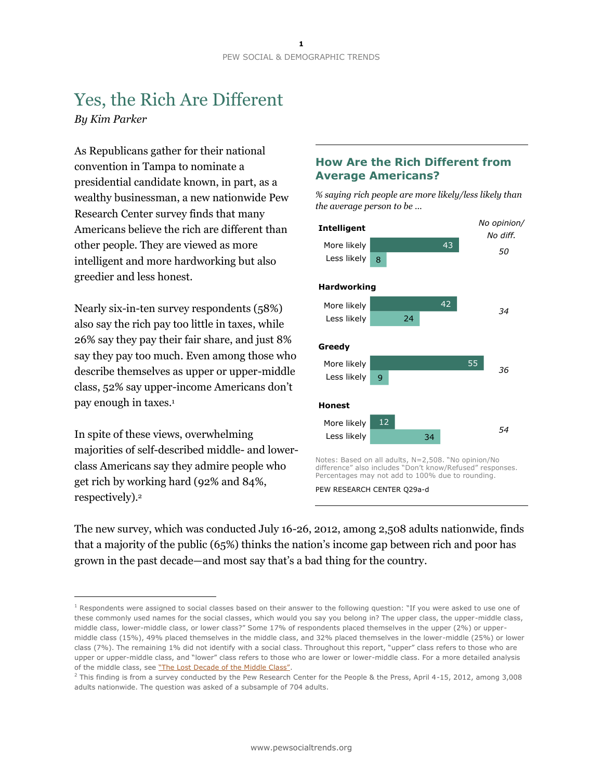# Yes, the Rich Are Different *By Kim Parker*

As Republicans gather for their national convention in Tampa to nominate a presidential candidate known, in part, as a wealthy businessman, a new nationwide Pew Research Center survey finds that many Americans believe the rich are different than other people. They are viewed as more intelligent and more hardworking but also greedier and less honest.

Nearly six-in-ten survey respondents (58%) also say the rich pay too little in taxes, while 26% say they pay their fair share, and just 8% say they pay too much. Even among those who describe themselves as upper or upper-middle class, 52% say upper-income Americans don't pay enough in taxes.<sup>1</sup>

In spite of these views, overwhelming majorities of self-described middle- and lowerclass Americans say they admire people who get rich by working hard (92% and 84%, respectively).<sup>2</sup>

 $\overline{a}$ 

### **How Are the Rich Different from Average Americans?**

*% saying rich people are more likely/less likely than the average person to be …*



PEW RESEARCH CENTER Q29a-d

The new survey, which was conducted July 16-26, 2012, among 2,508 adults nationwide, finds that a majority of the public (65%) thinks the nation's income gap between rich and poor has grown in the past decade—and most say that's a bad thing for the country.

 $1$  Respondents were assigned to social classes based on their answer to the following question: "If you were asked to use one of these commonly used names for the social classes, which would you say you belong in? The upper class, the upper-middle class, middle class, lower-middle class, or lower class?" Some 17% of respondents placed themselves in the upper (2%) or uppermiddle class (15%), 49% placed themselves in the middle class, and 32% placed themselves in the lower-middle (25%) or lower class (7%). The remaining 1% did not identify with a social class. Throughout this report, "upper" class refers to those who are upper or upper-middle class, and "lower" class refers to those who are lower or lower-middle class. For a more detailed analysis of the middle class, see ["The Lost Decade of the Middle Class"](http://www.pewsocialtrends.org/2012/08/22/the-lost-decade-of-the-middle-class/).

 $2$  This finding is from a survey conducted by the Pew Research Center for the People & the Press, April 4-15, 2012, among 3,008 adults nationwide. The question was asked of a subsample of 704 adults.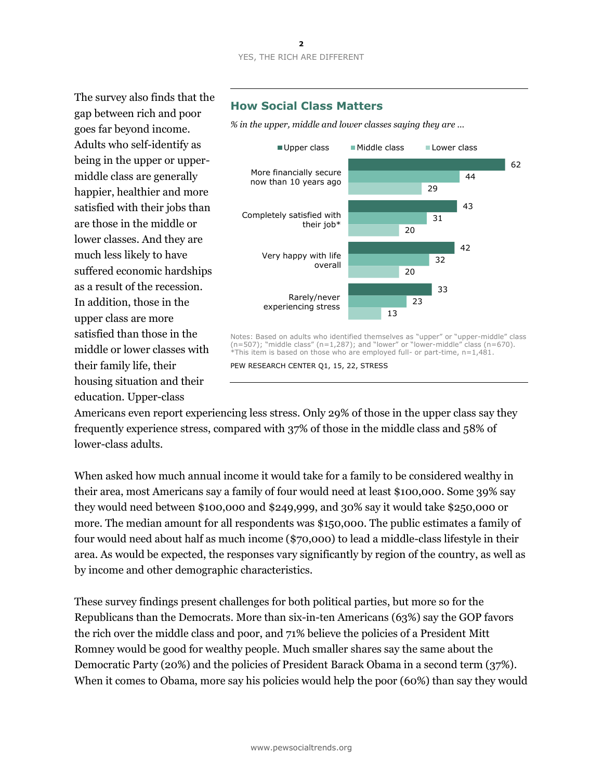The survey also finds that the gap between rich and poor goes far beyond income. Adults who self-identify as being in the upper or uppermiddle class are generally happier, healthier and more satisfied with their jobs than are those in the middle or lower classes. And they are much less likely to have suffered economic hardships as a result of the recession. In addition, those in the upper class are more satisfied than those in the middle or lower classes with their family life, their housing situation and their education. Upper-class

# **How Social Class Matters**

*% in the upper, middle and lower classes saying they are …*



Notes: Based on adults who identified themselves as "upper" or "upper-middle" class (n=507); "middle class" (n=1,287); and "lower" or "lower-middle" class (n=670). \*This item is based on those who are employed full- or part-time, n=1,481.

PEW RESEARCH CENTER Q1, 15, 22, STRESS

Americans even report experiencing less stress. Only 29% of those in the upper class say they frequently experience stress, compared with 37% of those in the middle class and 58% of lower-class adults.

When asked how much annual income it would take for a family to be considered wealthy in their area, most Americans say a family of four would need at least \$100,000. Some 39% say they would need between \$100,000 and \$249,999, and 30% say it would take \$250,000 or more. The median amount for all respondents was \$150,000. The public estimates a family of four would need about half as much income (\$70,000) to lead a middle-class lifestyle in their area. As would be expected, the responses vary significantly by region of the country, as well as by income and other demographic characteristics.

These survey findings present challenges for both political parties, but more so for the Republicans than the Democrats. More than six-in-ten Americans (63%) say the GOP favors the rich over the middle class and poor, and 71% believe the policies of a President Mitt Romney would be good for wealthy people. Much smaller shares say the same about the Democratic Party (20%) and the policies of President Barack Obama in a second term (37%). When it comes to Obama, more say his policies would help the poor (60%) than say they would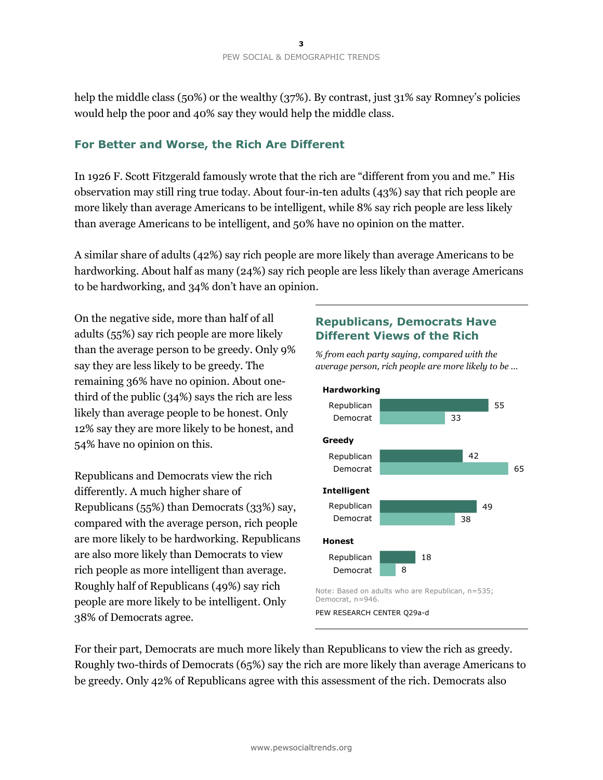help the middle class (50%) or the wealthy (37%). By contrast, just 31% say Romney's policies would help the poor and 40% say they would help the middle class.

### **For Better and Worse, the Rich Are Different**

In 1926 F. Scott Fitzgerald famously wrote that the rich are "different from you and me." His observation may still ring true today. About four-in-ten adults (43%) say that rich people are more likely than average Americans to be intelligent, while 8% say rich people are less likely than average Americans to be intelligent, and 50% have no opinion on the matter.

A similar share of adults (42%) say rich people are more likely than average Americans to be hardworking. About half as many (24%) say rich people are less likely than average Americans to be hardworking, and 34% don't have an opinion.

On the negative side, more than half of all adults (55%) say rich people are more likely than the average person to be greedy. Only 9% say they are less likely to be greedy. The remaining 36% have no opinion. About onethird of the public (34%) says the rich are less likely than average people to be honest. Only 12% say they are more likely to be honest, and 54% have no opinion on this.

Republicans and Democrats view the rich differently. A much higher share of Republicans (55%) than Democrats (33%) say, compared with the average person, rich people are more likely to be hardworking. Republicans are also more likely than Democrats to view rich people as more intelligent than average. Roughly half of Republicans (49%) say rich people are more likely to be intelligent. Only 38% of Democrats agree.

### **Republicans, Democrats Have Different Views of the Rich**

*% from each party saying, compared with the average person, rich people are more likely to be …* 



For their part, Democrats are much more likely than Republicans to view the rich as greedy. Roughly two-thirds of Democrats (65%) say the rich are more likely than average Americans to be greedy. Only 42% of Republicans agree with this assessment of the rich. Democrats also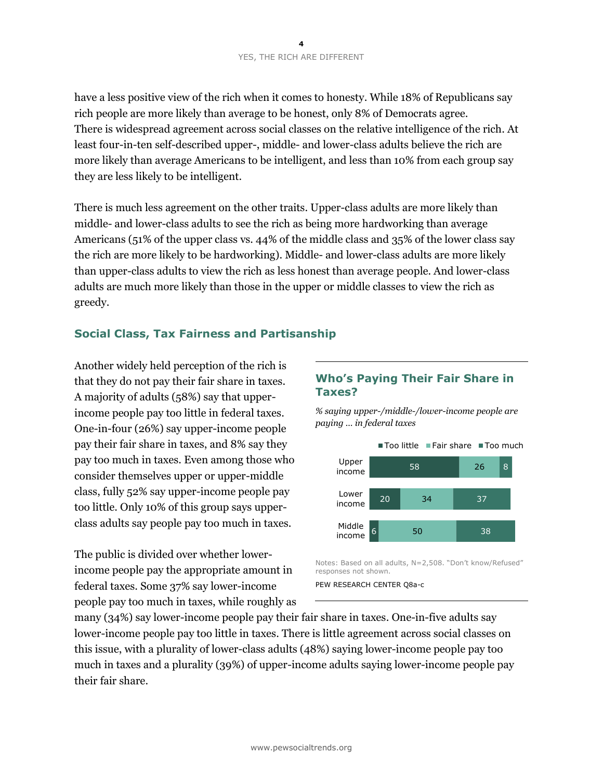have a less positive view of the rich when it comes to honesty. While 18% of Republicans say rich people are more likely than average to be honest, only 8% of Democrats agree. There is widespread agreement across social classes on the relative intelligence of the rich. At least four-in-ten self-described upper-, middle- and lower-class adults believe the rich are more likely than average Americans to be intelligent, and less than 10% from each group say they are less likely to be intelligent.

There is much less agreement on the other traits. Upper-class adults are more likely than middle- and lower-class adults to see the rich as being more hardworking than average Americans (51% of the upper class vs. 44% of the middle class and 35% of the lower class say the rich are more likely to be hardworking). Middle- and lower-class adults are more likely than upper-class adults to view the rich as less honest than average people. And lower-class adults are much more likely than those in the upper or middle classes to view the rich as greedy.

### **Social Class, Tax Fairness and Partisanship**

Another widely held perception of the rich is that they do not pay their fair share in taxes. A majority of adults (58%) say that upperincome people pay too little in federal taxes. One-in-four (26%) say upper-income people pay their fair share in taxes, and 8% say they pay too much in taxes. Even among those who consider themselves upper or upper-middle class, fully 52% say upper-income people pay too little. Only 10% of this group says upperclass adults say people pay too much in taxes.

The public is divided over whether lowerincome people pay the appropriate amount in federal taxes. Some 37% say lower-income people pay too much in taxes, while roughly as

### **Who's Paying Their Fair Share in Taxes?**

*% saying upper-/middle-/lower-income people are paying … in federal taxes*



Notes: Based on all adults, N=2,508. "Don't know/Refused" responses not shown.

many (34%) say lower-income people pay their fair share in taxes. One-in-five adults say lower-income people pay too little in taxes. There is little agreement across social classes on this issue, with a plurality of lower-class adults (48%) saying lower-income people pay too much in taxes and a plurality (39%) of upper-income adults saying lower-income people pay their fair share.

PEW RESEARCH CENTER Q8a-c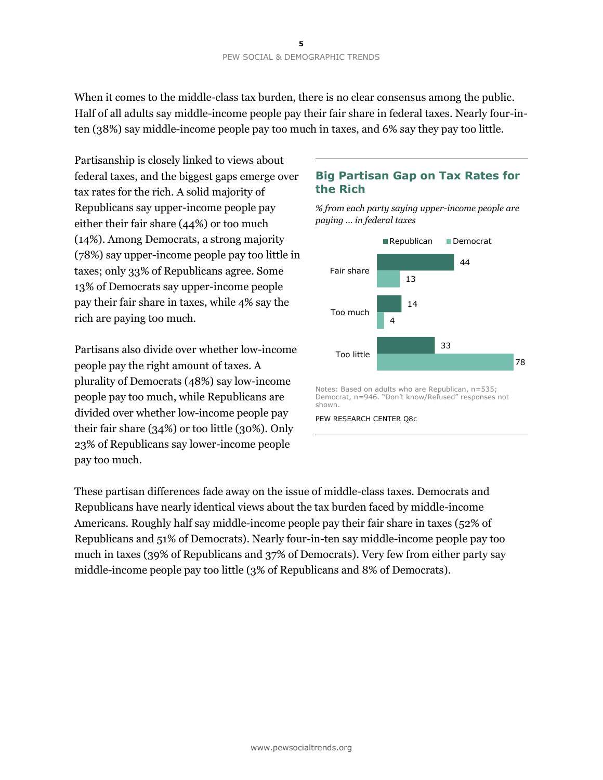When it comes to the middle-class tax burden, there is no clear consensus among the public. Half of all adults say middle-income people pay their fair share in federal taxes. Nearly four-inten (38%) say middle-income people pay too much in taxes, and 6% say they pay too little.

Partisanship is closely linked to views about federal taxes, and the biggest gaps emerge over tax rates for the rich. A solid majority of Republicans say upper-income people pay either their fair share (44%) or too much (14%). Among Democrats, a strong majority (78%) say upper-income people pay too little in taxes; only 33% of Republicans agree. Some 13% of Democrats say upper-income people pay their fair share in taxes, while 4% say the rich are paying too much.

Partisans also divide over whether low-income people pay the right amount of taxes. A plurality of Democrats (48%) say low-income people pay too much, while Republicans are divided over whether low-income people pay their fair share (34%) or too little (30%). Only 23% of Republicans say lower-income people pay too much.

# **Big Partisan Gap on Tax Rates for the Rich**

*% from each party saying upper-income people are paying … in federal taxes*



Notes: Based on adults who are Republican, n=535; Democrat, n=946. "Don't know/Refused" responses not shown.

PEW RESEARCH CENTER Q8c

These partisan differences fade away on the issue of middle-class taxes. Democrats and Republicans have nearly identical views about the tax burden faced by middle-income Americans. Roughly half say middle-income people pay their fair share in taxes (52% of Republicans and 51% of Democrats). Nearly four-in-ten say middle-income people pay too much in taxes (39% of Republicans and 37% of Democrats). Very few from either party say middle-income people pay too little (3% of Republicans and 8% of Democrats).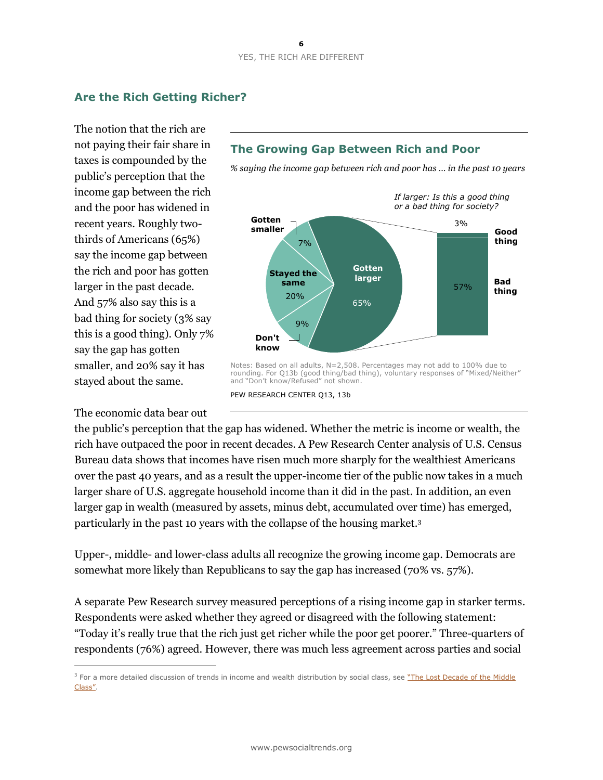# **Are the Rich Getting Richer?**

The notion that the rich are not paying their fair share in taxes is compounded by the public's perception that the income gap between the rich and the poor has widened in recent years. Roughly twothirds of Americans (65%) say the income gap between the rich and poor has gotten larger in the past decade. And 57% also say this is a bad thing for society (3% say this is a good thing). Only 7% say the gap has gotten smaller, and 20% say it has stayed about the same.

The economic data bear out

 $\overline{a}$ 



*% saying the income gap between rich and poor has … in the past 10 years*



and "Don't know/Refused" not shown. PEW RESEARCH CENTER Q13, 13b

the public's perception that the gap has widened. Whether the metric is income or wealth, the rich have outpaced the poor in recent decades. A Pew Research Center analysis of U.S. Census Bureau data shows that incomes have risen much more sharply for the wealthiest Americans over the past 40 years, and as a result the upper-income tier of the public now takes in a much larger share of U.S. aggregate household income than it did in the past. In addition, an even larger gap in wealth (measured by assets, minus debt, accumulated over time) has emerged, particularly in the past 10 years with the collapse of the housing market. 3

Upper-, middle- and lower-class adults all recognize the growing income gap. Democrats are somewhat more likely than Republicans to say the gap has increased (70% vs. 57%).

A separate Pew Research survey measured perceptions of a rising income gap in starker terms. Respondents were asked whether they agreed or disagreed with the following statement: "Today it's really true that the rich just get richer while the poor get poorer." Three-quarters of respondents (76%) agreed. However, there was much less agreement across parties and social

<sup>&</sup>lt;sup>3</sup> For a more detailed discussion of trends in income and wealth distribution by social class, see "The Lost Decade of the Middle [Class"](http://www.pewsocialtrends.org/2012/08/22/the-lost-decade-of-the-middle-class/).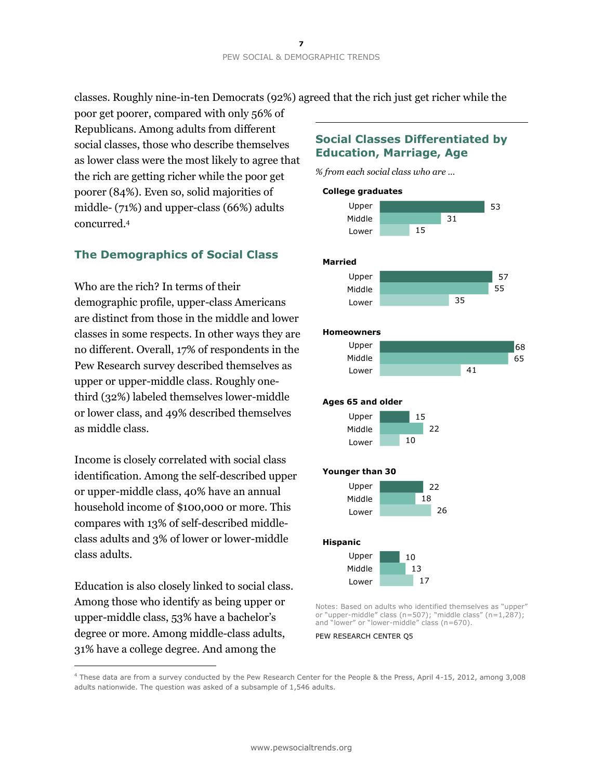classes. Roughly nine-in-ten Democrats (92%) agreed that the rich just get richer while the

poor get poorer, compared with only 56% of Republicans. Among adults from different social classes, those who describe themselves as lower class were the most likely to agree that the rich are getting richer while the poor get poorer (84%). Even so, solid majorities of middle- (71%) and upper-class (66%) adults concurred.<sup>4</sup>

# **The Demographics of Social Class**

Who are the rich? In terms of their demographic profile, upper-class Americans are distinct from those in the middle and lower classes in some respects. In other ways they are no different. Overall, 17% of respondents in the Pew Research survey described themselves as upper or upper-middle class. Roughly onethird (32%) labeled themselves lower-middle or lower class, and 49% described themselves as middle class.

Income is closely correlated with social class identification. Among the self-described upper or upper-middle class, 40% have an annual household income of \$100,000 or more. This compares with 13% of self-described middleclass adults and 3% of lower or lower-middle class adults.

Education is also closely linked to social class. Among those who identify as being upper or upper-middle class, 53% have a bachelor's degree or more. Among middle-class adults, 31% have a college degree. And among the

 $\overline{a}$ 

# **Social Classes Differentiated by Education, Marriage, Age**

*% from each social class who are …*



PEW RESEARCH CENTER Q5

<sup>4</sup> These data are from a survey conducted by the Pew Research Center for the People & the Press, April 4-15, 2012, among 3,008 adults nationwide. The question was asked of a subsample of 1,546 adults.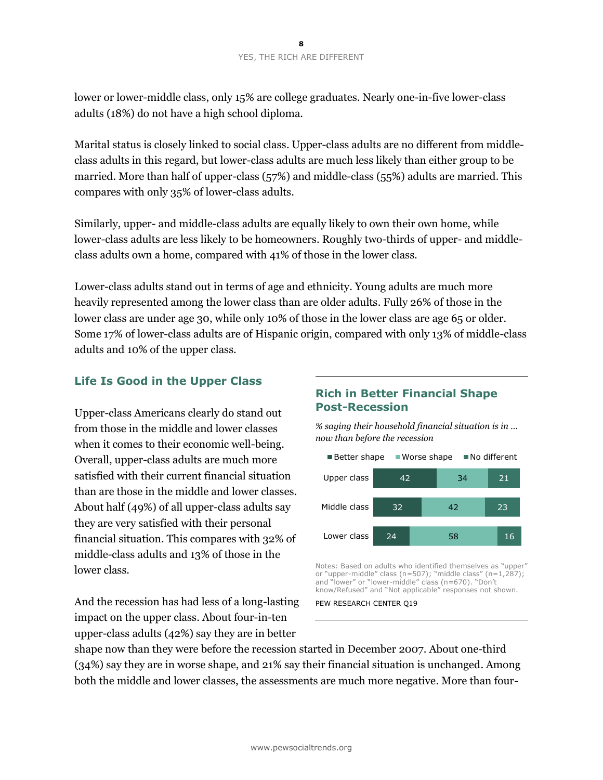lower or lower-middle class, only 15% are college graduates. Nearly one-in-five lower-class adults (18%) do not have a high school diploma.

Marital status is closely linked to social class. Upper-class adults are no different from middleclass adults in this regard, but lower-class adults are much less likely than either group to be married. More than half of upper-class (57%) and middle-class (55%) adults are married. This compares with only 35% of lower-class adults.

Similarly, upper- and middle-class adults are equally likely to own their own home, while lower-class adults are less likely to be homeowners. Roughly two-thirds of upper- and middleclass adults own a home, compared with 41% of those in the lower class.

Lower-class adults stand out in terms of age and ethnicity. Young adults are much more heavily represented among the lower class than are older adults. Fully 26% of those in the lower class are under age 30, while only 10% of those in the lower class are age 65 or older. Some 17% of lower-class adults are of Hispanic origin, compared with only 13% of middle-class adults and 10% of the upper class.

# **Life Is Good in the Upper Class**

Upper-class Americans clearly do stand out from those in the middle and lower classes when it comes to their economic well-being. Overall, upper-class adults are much more satisfied with their current financial situation than are those in the middle and lower classes. About half (49%) of all upper-class adults say they are very satisfied with their personal financial situation. This compares with 32% of middle-class adults and 13% of those in the lower class.

# **Rich in Better Financial Shape Post-Recession**

*% saying their household financial situation is in … now than before the recession* 



Notes: Based on adults who identified themselves as "upper" or "upper-middle" class (n=507); "middle class" (n=1,287); and "lower" or "lower-middle" class (n=670). "Don't know/Refused" and "Not applicable" responses not shown.

PEW RESEARCH CENTER 019

And the recession has had less of a long-lasting impact on the upper class. About four-in-ten upper-class adults (42%) say they are in better

shape now than they were before the recession started in December 2007. About one-third (34%) say they are in worse shape, and 21% say their financial situation is unchanged. Among both the middle and lower classes, the assessments are much more negative. More than four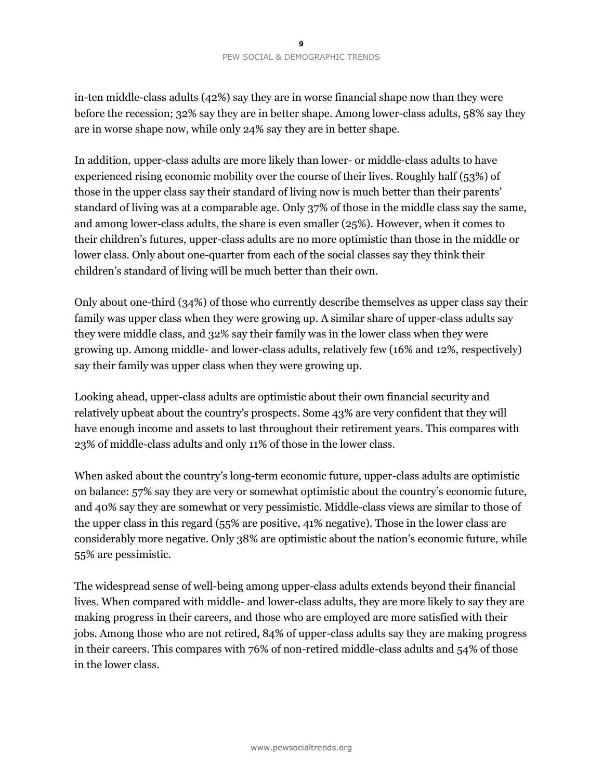in-ten middle-class adults (42%) say they are in worse financial shape now than they were before the recession; 32% say they are in better shape. Among lower-class adults, 58% say they are in worse shape now, while only 24% say they are in better shape.

In addition, upper-class adults are more likely than lower- or middle-class adults to have experienced rising economic mobility over the course of their lives. Roughly half (53%) of those in the upper class say their standard of living now is much better than their parents' standard of living was at a comparable age. Only 37% of those in the middle class say the same, and among lower-class adults, the share is even smaller (25%). However, when it comes to their children's futures, upper-class adults are no more optimistic than those in the middle or lower class. Only about one-quarter from each of the social classes say they think their children's standard of living will be much better than their own.

Only about one-third (34%) of those who currently describe themselves as upper class say their family was upper class when they were growing up. A similar share of upper-class adults say they were middle class, and 32% say their family was in the lower class when they were growing up. Among middle- and lower-class adults, relatively few (16% and 12%, respectively) say their family was upper class when they were growing up.

Looking ahead, upper-class adults are optimistic about their own financial security and relatively upbeat about the country's prospects. Some 43% are very confident that they will have enough income and assets to last throughout their retirement years. This compares with 23% of middle-class adults and only 11% of those in the lower class.

When asked about the country's long-term economic future, upper-class adults are optimistic on balance: 57% say they are very or somewhat optimistic about the country's economic future, and 40% say they are somewhat or very pessimistic. Middle-class views are similar to those of the upper class in this regard (55% are positive, 41% negative). Those in the lower class are considerably more negative. Only 38% are optimistic about the nation's economic future, while 55% are pessimistic.

The widespread sense of well-being among upper-class adults extends beyond their financial lives. When compared with middle- and lower-class adults, they are more likely to say they are making progress in their careers, and those who are employed are more satisfied with their jobs. Among those who are not retired, 84% of upper-class adults say they are making progress in their careers. This compares with 76% of non-retired middle-class adults and 54% of those in the lower class.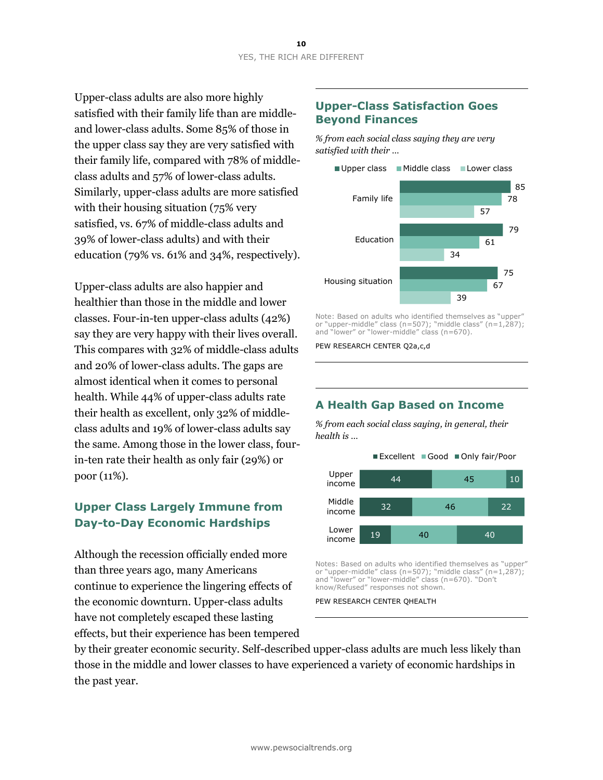Upper-class adults are also more highly satisfied with their family life than are middleand lower-class adults. Some 85% of those in the upper class say they are very satisfied with their family life, compared with 78% of middleclass adults and 57% of lower-class adults. Similarly, upper-class adults are more satisfied with their housing situation (75% very satisfied, vs. 67% of middle-class adults and 39% of lower-class adults) and with their education (79% vs. 61% and 34%, respectively).

Upper-class adults are also happier and healthier than those in the middle and lower classes. Four-in-ten upper-class adults (42%) say they are very happy with their lives overall. This compares with 32% of middle-class adults and 20% of lower-class adults. The gaps are almost identical when it comes to personal health. While 44% of upper-class adults rate their health as excellent, only 32% of middleclass adults and 19% of lower-class adults say the same. Among those in the lower class, fourin-ten rate their health as only fair (29%) or poor (11%).

# **Upper Class Largely Immune from Day-to-Day Economic Hardships**

Although the recession officially ended more than three years ago, many Americans continue to experience the lingering effects of the economic downturn. Upper-class adults have not completely escaped these lasting effects, but their experience has been tempered

### **Upper-Class Satisfaction Goes Beyond Finances**

*% from each social class saying they are very satisfied with their …*



Note: Based on adults who identified themselves as "upper" or "upper-middle" class (n=507); "middle class" (n=1,287); and "lower" or "lower-middle" class (n=670).

PEW RESEARCH CENTER Q2a,c,d

# **A Health Gap Based on Income**

*% from each social class saying, in general, their health is …*



Notes: Based on adults who identified themselves as "upper" or "upper-middle" class (n=507); "middle class" (n=1,287); and "lower" or "lower-middle" class (n=670). "Don't know/Refused" responses not shown.

PEW RESEARCH CENTER QHEALTH

by their greater economic security. Self-described upper-class adults are much less likely than those in the middle and lower classes to have experienced a variety of economic hardships in the past year.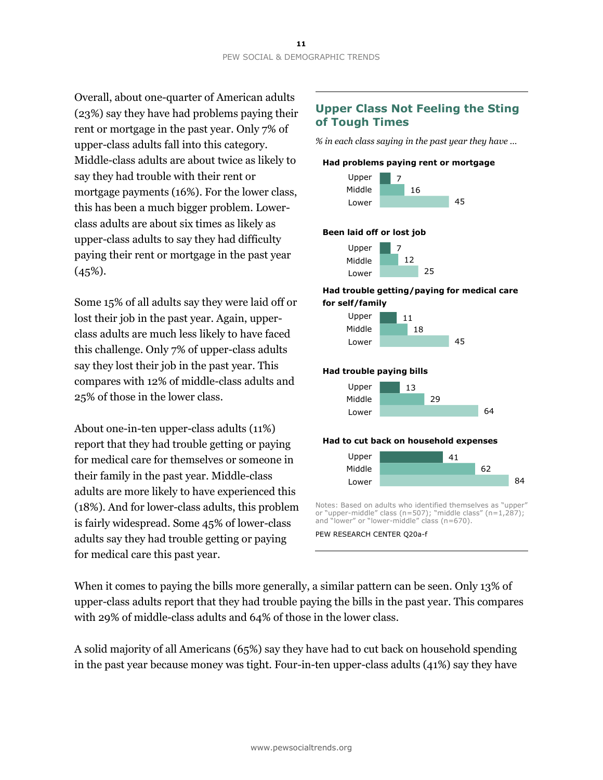Overall, about one-quarter of American adults (23%) say they have had problems paying their rent or mortgage in the past year. Only 7% of upper-class adults fall into this category. Middle-class adults are about twice as likely to say they had trouble with their rent or mortgage payments (16%). For the lower class, this has been a much bigger problem. Lowerclass adults are about six times as likely as upper-class adults to say they had difficulty paying their rent or mortgage in the past year  $(45\%).$ 

Some 15% of all adults say they were laid off or lost their job in the past year. Again, upperclass adults are much less likely to have faced this challenge. Only 7% of upper-class adults say they lost their job in the past year. This compares with 12% of middle-class adults and 25% of those in the lower class.

About one-in-ten upper-class adults (11%) report that they had trouble getting or paying for medical care for themselves or someone in their family in the past year. Middle-class adults are more likely to have experienced this (18%). And for lower-class adults, this problem is fairly widespread. Some 45% of lower-class adults say they had trouble getting or paying for medical care this past year.

# **Upper Class Not Feeling the Sting of Tough Times**

*% in each class saying in the past year they have …* 





#### **Been laid off or lost job**



#### **Had trouble getting/paying for medical care for self/family**



#### **Had trouble paying bills**



#### **Had to cut back on household expenses**



Notes: Based on adults who identified themselves as "upper" or "upper-middle" class (n=507); "middle class" (n=1,287); and "lower" or "lower-middle" class (n=670).

PEW RESEARCH CENTER Q20a-f

When it comes to paying the bills more generally, a similar pattern can be seen. Only 13% of upper-class adults report that they had trouble paying the bills in the past year. This compares with 29% of middle-class adults and 64% of those in the lower class.

A solid majority of all Americans (65%) say they have had to cut back on household spending in the past year because money was tight. Four-in-ten upper-class adults (41%) say they have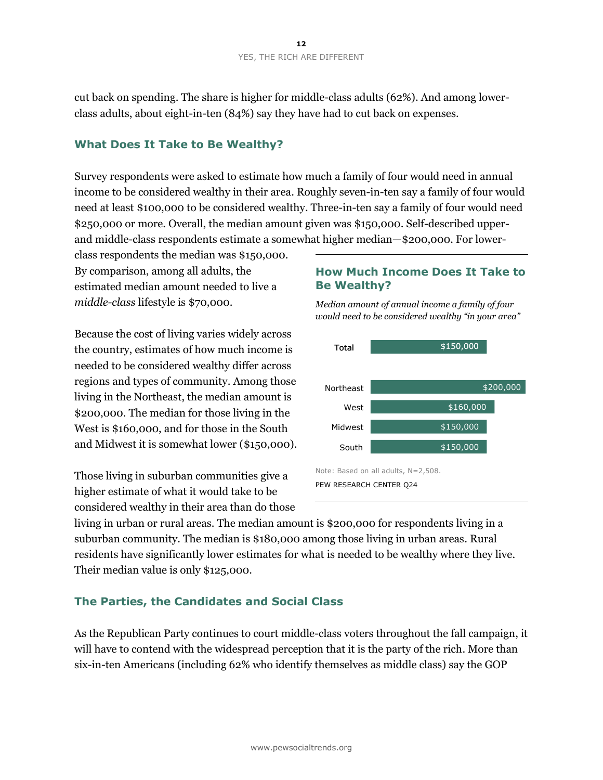cut back on spending. The share is higher for middle-class adults (62%). And among lowerclass adults, about eight-in-ten (84%) say they have had to cut back on expenses.

#### **What Does It Take to Be Wealthy?**

Survey respondents were asked to estimate how much a family of four would need in annual income to be considered wealthy in their area. Roughly seven-in-ten say a family of four would need at least \$100,000 to be considered wealthy. Three-in-ten say a family of four would need \$250,000 or more. Overall, the median amount given was \$150,000. Self-described upperand middle-class respondents estimate a somewhat higher median—\$200,000. For lower-

class respondents the median was \$150,000. By comparison, among all adults, the estimated median amount needed to live a *middle-class* lifestyle is \$70,000.

Because the cost of living varies widely across the country, estimates of how much income is needed to be considered wealthy differ across regions and types of community. Among those living in the Northeast, the median amount is \$200,000. The median for those living in the West is \$160,000, and for those in the South and Midwest it is somewhat lower (\$150,000).

Those living in suburban communities give a higher estimate of what it would take to be considered wealthy in their area than do those

### **How Much Income Does It Take to Be Wealthy?**



*Median amount of annual income a family of four would need to be considered wealthy "in your area"*

living in urban or rural areas. The median amount is \$200,000 for respondents living in a suburban community. The median is \$180,000 among those living in urban areas. Rural residents have significantly lower estimates for what is needed to be wealthy where they live. Their median value is only \$125,000.

#### **The Parties, the Candidates and Social Class**

As the Republican Party continues to court middle-class voters throughout the fall campaign, it will have to contend with the widespread perception that it is the party of the rich. More than six-in-ten Americans (including 62% who identify themselves as middle class) say the GOP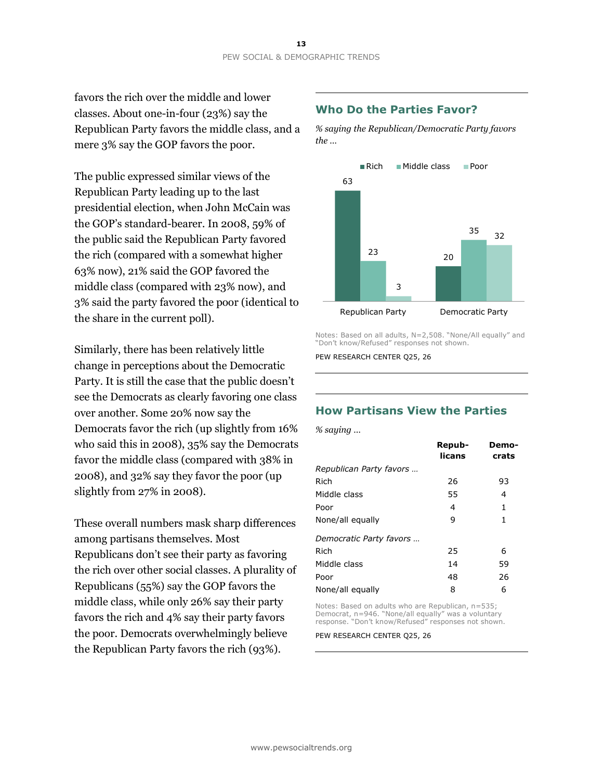favors the rich over the middle and lower classes. About one-in-four (23%) say the Republican Party favors the middle class, and a mere 3% say the GOP favors the poor.

The public expressed similar views of the Republican Party leading up to the last presidential election, when John McCain was the GOP's standard-bearer. In 2008, 59% of the public said the Republican Party favored the rich (compared with a somewhat higher 63% now), 21% said the GOP favored the middle class (compared with 23% now), and 3% said the party favored the poor (identical to the share in the current poll).

Similarly, there has been relatively little change in perceptions about the Democratic Party. It is still the case that the public doesn't see the Democrats as clearly favoring one class over another. Some 20% now say the Democrats favor the rich (up slightly from 16% who said this in 2008), 35% say the Democrats favor the middle class (compared with 38% in 2008), and 32% say they favor the poor (up slightly from 27% in 2008).

These overall numbers mask sharp differences among partisans themselves. Most Republicans don't see their party as favoring the rich over other social classes. A plurality of Republicans (55%) say the GOP favors the middle class, while only 26% say their party favors the rich and 4% say their party favors the poor. Democrats overwhelmingly believe the Republican Party favors the rich (93%).

### **Who Do the Parties Favor?**

*% saying the Republican/Democratic Party favors the …* 



Notes: Based on all adults, N=2,508. "None/All equally" and "Don't know/Refused" responses not shown.

PEW RESEARCH CENTER Q25, 26

# **How Partisans View the Parties**

*% saying …* 

|                         | Repub-<br>licans | Demo-<br>crats |
|-------------------------|------------------|----------------|
| Republican Party favors |                  |                |
| Rich                    | 26               | 93             |
| Middle class            | 55               | 4              |
| Poor                    | 4                | 1              |
| None/all equally        | 9                | 1              |
| Democratic Party favors |                  |                |
| Rich                    | 25               | 6              |
| Middle class            | 14               | 59             |
| Poor                    | 48               | 26             |
| None/all equally        | 8                | 6              |

Notes: Based on adults who are Republican, n=535; Democrat, n=946. "None/all equally" was a voluntary response. "Don't know/Refused" responses not shown.

PEW RESEARCH CENTER Q25, 26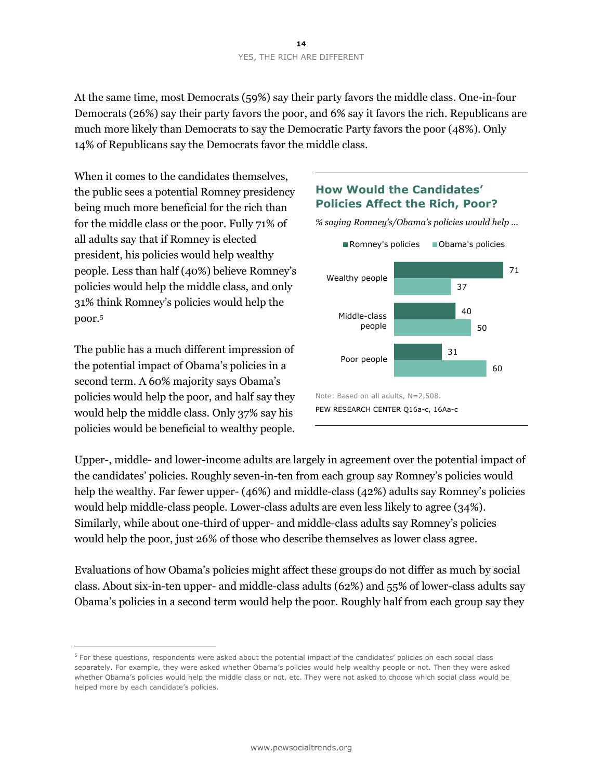At the same time, most Democrats (59%) say their party favors the middle class. One-in-four Democrats (26%) say their party favors the poor, and 6% say it favors the rich. Republicans are much more likely than Democrats to say the Democratic Party favors the poor (48%). Only 14% of Republicans say the Democrats favor the middle class.

When it comes to the candidates themselves, the public sees a potential Romney presidency being much more beneficial for the rich than for the middle class or the poor. Fully 71% of all adults say that if Romney is elected president, his policies would help wealthy people. Less than half (40%) believe Romney's policies would help the middle class, and only 31% think Romney's policies would help the poor.<sup>5</sup>

The public has a much different impression of the potential impact of Obama's policies in a second term. A 60% majority says Obama's policies would help the poor, and half say they would help the middle class. Only 37% say his policies would be beneficial to wealthy people.

 $\overline{a}$ 

# **How Would the Candidates' Policies Affect the Rich, Poor?**

*% saying Romney's/Obama's policies would help …* 



Upper-, middle- and lower-income adults are largely in agreement over the potential impact of the candidates' policies. Roughly seven-in-ten from each group say Romney's policies would help the wealthy. Far fewer upper- (46%) and middle-class (42%) adults say Romney's policies would help middle-class people. Lower-class adults are even less likely to agree (34%). Similarly, while about one-third of upper- and middle-class adults say Romney's policies would help the poor, just 26% of those who describe themselves as lower class agree.

Evaluations of how Obama's policies might affect these groups do not differ as much by social class. About six-in-ten upper- and middle-class adults (62%) and 55% of lower-class adults say Obama's policies in a second term would help the poor. Roughly half from each group say they

<sup>&</sup>lt;sup>5</sup> For these questions, respondents were asked about the potential impact of the candidates' policies on each social class separately. For example, they were asked whether Obama's policies would help wealthy people or not. Then they were asked whether Obama's policies would help the middle class or not, etc. They were not asked to choose which social class would be helped more by each candidate's policies.